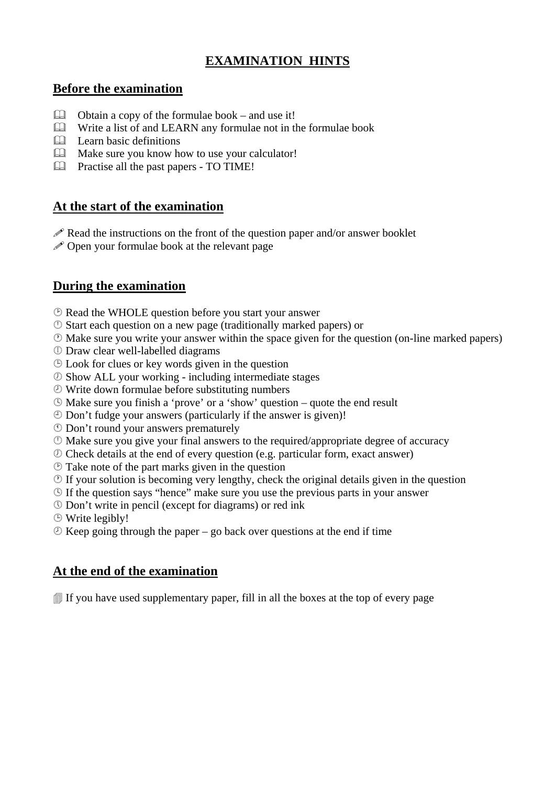# **EXAMINATION HINTS**

### **Before the examination**

- $\Box$  Obtain a copy of the formulae book and use it!
- Write a list of and LEARN any formulae not in the formulae book
- **Learn basic definitions**
- Make sure you know how to use your calculator!
- Practise all the past papers TO TIME!

# **At the start of the examination**

- $\mathscr P$  Read the instructions on the front of the question paper and/or answer booklet
- $\mathscr P$  Open your formulae book at the relevant page

# **During the examination**

- Read the WHOLE question before you start your answer
- ¨ Start each question on a new page (traditionally marked papers) or
- Make sure you write your answer within the space given for the question (on-line marked papers)
- ¢ Draw clear well-labelled diagrams
- Look for clues or key words given in the question
- £ Show ALL your working including intermediate stages
- $\circled{D}$  Write down formulae before substituting numbers
- Make sure you finish a 'prove' or a 'show' question quote the end result
- ¥ Don't fudge your answers (particularly if the answer is given)!
- § Don't round your answers prematurely
- $\circled{a}$  Make sure you give your final answers to the required/appropriate degree of accuracy
- £ Check details at the end of every question (e.g. particular form, exact answer)
- Take note of the part marks given in the question
- $\circled{1}$  If your solution is becoming very lengthy, check the original details given in the question
- If the question says "hence" make sure you use the previous parts in your answer
- ¡ Don't write in pencil (except for diagrams) or red ink
- Write legibly!
- $\circled{E}$  Keep going through the paper go back over questions at the end if time

### **At the end of the examination**

 $\mathbb{I}$  If you have used supplementary paper, fill in all the boxes at the top of every page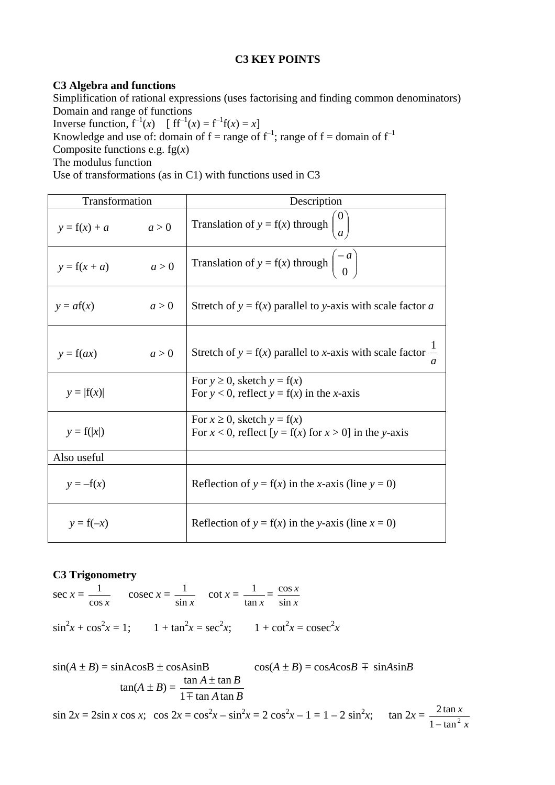#### **C3 KEY POINTS**

#### **C3 Algebra and functions**

Simplification of rational expressions (uses factorising and finding common denominators) Domain and range of functions

Inverse function,  $f^{-1}(x)$  [  $ff^{-1}(x) = f^{-1}f(x) = x$ ]

Knowledge and use of: domain of  $f = \text{range of } f^{-1}$ ; range of  $f = \text{domain of } f^{-1}$ 

Composite functions e.g. fg(*x*)

The modulus function

Use of transformations (as in C1) with functions used in C3

| Transformation |       | Description                                                                                        |
|----------------|-------|----------------------------------------------------------------------------------------------------|
| $y = f(x) + a$ | a > 0 | Translation of $y = f(x)$ through                                                                  |
| $y = f(x + a)$ | a > 0 | Translation of $y = f(x)$ through $\begin{pmatrix} -a \\ 0 \end{pmatrix}$                          |
| $y = af(x)$    | a > 0 | Stretch of $y = f(x)$ parallel to y-axis with scale factor a                                       |
| $y = f(ax)$    | a > 0 | Stretch of $y = f(x)$ parallel to x-axis with scale factor $\frac{1}{x}$<br>$\mathfrak a$          |
| $y= f(x) $     |       | For $y \ge 0$ , sketch $y = f(x)$<br>For $y < 0$ , reflect $y = f(x)$ in the x-axis                |
| $y = f( x )$   |       | For $x \ge 0$ , sketch $y = f(x)$<br>For $x < 0$ , reflect $[y = f(x)$ for $x > 0$ ] in the y-axis |
| Also useful    |       |                                                                                                    |
| $y = -f(x)$    |       | Reflection of $y = f(x)$ in the x-axis (line $y = 0$ )                                             |
| $y = f(-x)$    |       | Reflection of $y = f(x)$ in the y-axis (line $x = 0$ )                                             |

### **C3 Trigonometry**

sec  $x =$ cos *x*  $\frac{1}{\cos x}$  cosec *x* = sin *x*  $\frac{1}{\csc x}$  cot  $x =$ tan *x*  $\frac{1}{2}$  = *x x* sin cos  $\sin^2 x + \cos^2 x = 1$ ;  $1 + \tan^2 x = \sec^2 x$ ;  $1 + \cot^2 x = \csc^2 x$ 

 $sin(A \pm B) = sinAcosB \pm cosA sinB$   $cos(A \pm B) = cosAcosB \mp sinA sinB$  $\tan(A \pm B) = \frac{\tan A \pm \tan B}{1 \mp \tan A \tan B}$  $1 \mp$  tan A tan  $\tan A \pm \tan A$  $\overline{+}$ ±  $\sin 2x = 2\sin x \cos x$ ;  $\cos 2x = \cos^2 x - \sin^2 x = 2\cos^2 x - 1 = 1 - 2\sin^2 x$ ;  $\tan 2x =$ *x x*  $1 - \tan^2$  $2 \tan$ −